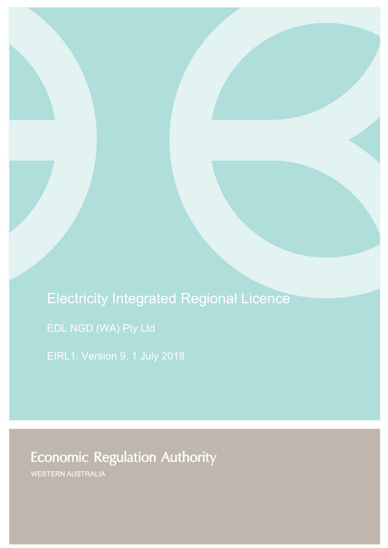Electricity Integrated Regional Licence

EIRL1, Version 9, 1 July 2018

**Economic Regulation Authority** 

WESTERN AUSTRALIA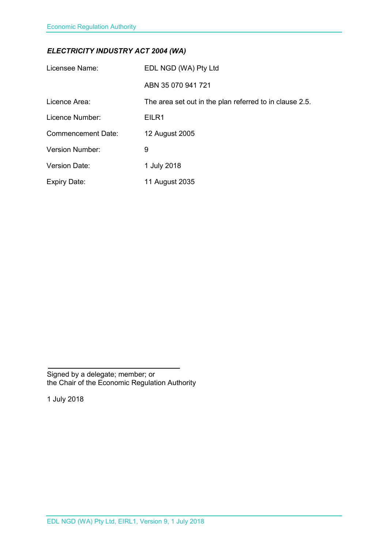# *ELECTRICITY INDUSTRY ACT 2004 (WA)*

| Licensee Name:            | EDL NGD (WA) Pty Ltd                                    |
|---------------------------|---------------------------------------------------------|
|                           | ABN 35 070 941 721                                      |
| Licence Area:             | The area set out in the plan referred to in clause 2.5. |
| Licence Number:           | EILR1                                                   |
| <b>Commencement Date:</b> | 12 August 2005                                          |
| <b>Version Number:</b>    | 9                                                       |
| <b>Version Date:</b>      | 1 July 2018                                             |
| <b>Expiry Date:</b>       | 11 August 2035                                          |

Signed by a delegate; member; or the Chair of the Economic Regulation Authority

1 July 2018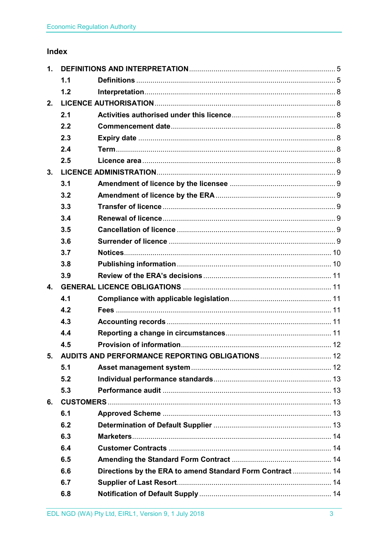# Index

| $\mathbf 1$ .  |     |                                                           |  |
|----------------|-----|-----------------------------------------------------------|--|
|                | 1.1 |                                                           |  |
|                | 1.2 |                                                           |  |
| 2.             |     |                                                           |  |
|                | 2.1 |                                                           |  |
|                | 2.2 |                                                           |  |
|                | 2.3 |                                                           |  |
|                | 2.4 |                                                           |  |
|                | 2.5 |                                                           |  |
| 3.             |     |                                                           |  |
|                | 3.1 |                                                           |  |
|                | 3.2 |                                                           |  |
|                | 3.3 |                                                           |  |
|                | 3.4 |                                                           |  |
|                | 3.5 |                                                           |  |
|                | 3.6 |                                                           |  |
|                | 3.7 |                                                           |  |
|                | 3.8 |                                                           |  |
|                | 3.9 |                                                           |  |
| $\mathbf{4}$ . |     |                                                           |  |
|                | 4.1 |                                                           |  |
|                | 4.2 |                                                           |  |
|                | 4.3 |                                                           |  |
|                | 4.4 |                                                           |  |
|                | 4.5 |                                                           |  |
| 5.             |     |                                                           |  |
|                | 5.1 |                                                           |  |
|                | 5.2 |                                                           |  |
|                | 5.3 |                                                           |  |
| 6.             |     |                                                           |  |
|                | 6.1 |                                                           |  |
|                | 6.2 |                                                           |  |
|                | 6.3 |                                                           |  |
|                | 6.4 |                                                           |  |
|                | 6.5 |                                                           |  |
|                | 6.6 | Directions by the ERA to amend Standard Form Contract  14 |  |
|                | 6.7 |                                                           |  |
|                | 6.8 |                                                           |  |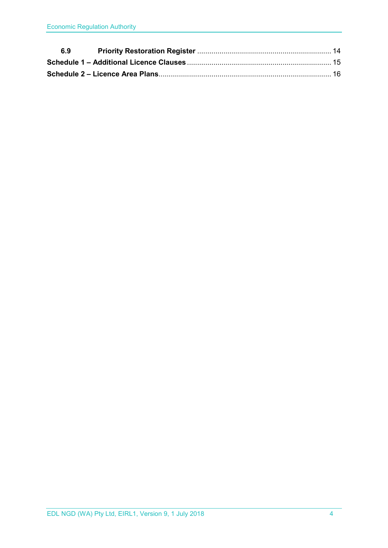| 6.9 |  |
|-----|--|
|     |  |
|     |  |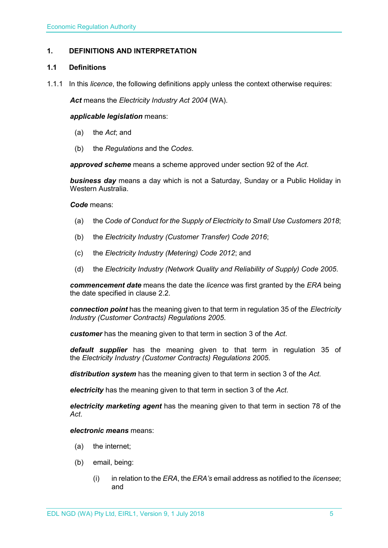# <span id="page-4-0"></span>**1. DEFINITIONS AND INTERPRETATION**

# <span id="page-4-1"></span>**1.1 Definitions**

1.1.1 In this *licence*, the following definitions apply unless the context otherwise requires:

*Act* means the *Electricity Industry Act 2004* (WA).

#### *applicable legislation* means:

- (a) the *Act*; and
- (b) the *Regulations* and the *Codes*.

*approved scheme* means a scheme approved under section 92 of the *Act*.

*business day* means a day which is not a Saturday, Sunday or a Public Holiday in Western Australia.

#### *Code* means:

- (a) the *Code of Conduct for the Supply of Electricity to Small Use Customers 2018*;
- (b) the *Electricity Industry (Customer Transfer) Code 2016*;
- (c) the *Electricity Industry (Metering) Code 2012*; and
- (d) the *Electricity Industry (Network Quality and Reliability of Supply) Code 2005*.

*commencement date* means the date the *licence* was first granted by the *ERA* being the date specified in clause 2.2.

*connection point* has the meaning given to that term in regulation 35 of the *[Electricity](http://www.slp.wa.gov.au/legislation/statutes.nsf/main_mrtitle_1345_homepage.html)  [Industry \(Customer Contracts\) Regulations 2005](http://www.slp.wa.gov.au/legislation/statutes.nsf/main_mrtitle_1345_homepage.html)*.

*customer* has the meaning given to that term in section 3 of the *Act*.

*default supplier* has the meaning given to that term in regulation 35 of the *Electricity [Industry \(Customer Contracts\) Regulations 2005.](http://www.slp.wa.gov.au/legislation/statutes.nsf/main_mrtitle_1345_homepage.html)*

*distribution system* has the meaning given to that term in section 3 of the *Act*.

*electricity* has the meaning given to that term in section 3 of the *Act*.

*electricity marketing agent* has the meaning given to that term in section 78 of the *Act*.

# *electronic means* means:

- (a) the internet;
- (b) email, being:
	- (i) in relation to the *ERA*, the *ERA's* email address as notified to the *licensee*; and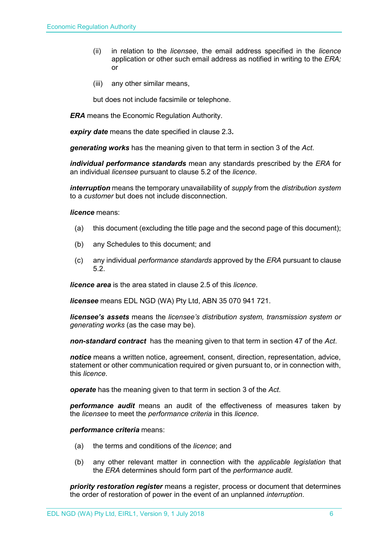- (ii) in relation to the *licensee*, the email address specified in the *licence*  application or other such email address as notified in writing to the *ERA;* or
- (iii) any other similar means,

but does not include facsimile or telephone.

*ERA* means the Economic Regulation Authority.

*expiry date* means the date specified in clause 2.3*.*

*generating works* has the meaning given to that term in section 3 of the *Act*.

*individual performance standards* mean any standards prescribed by the *ERA* for an individual *licensee* pursuant to clause 5.2 of the *licence*.

*interruption* means the temporary unavailability of *supply* from the *distribution system* to a *customer* but does not include disconnection.

*licence* means:

- (a) this document (excluding the title page and the second page of this document);
- (b) any Schedules to this document; and
- (c) any individual *performance standards* approved by the *ERA* pursuant to clause 5.2.

*licence area* is the area stated in clause 2.5 of this *licence*.

*licensee* means EDL NGD (WA) Pty Ltd, ABN 35 070 941 721.

*licensee's assets* means the *licensee's distribution system, transmission system or generating works* (as the case may be).

*non-standard contract* has the meaning given to that term in section 47 of the *Act*.

*notice* means a written notice, agreement, consent, direction, representation, advice, statement or other communication required or given pursuant to, or in connection with, this *licence*.

*operate* has the meaning given to that term in section 3 of the *Act*.

*performance audit* means an audit of the effectiveness of measures taken by the *licensee* to meet the *performance criteria* in this *licence*.

*performance criteria* means:

- (a) the terms and conditions of the *licence*; and
- (b) any other relevant matter in connection with the *applicable legislation* that the *ERA* determines should form part of the *performance audit*.

*priority restoration register* means a register, process or document that determines the order of restoration of power in the event of an unplanned *interruption*.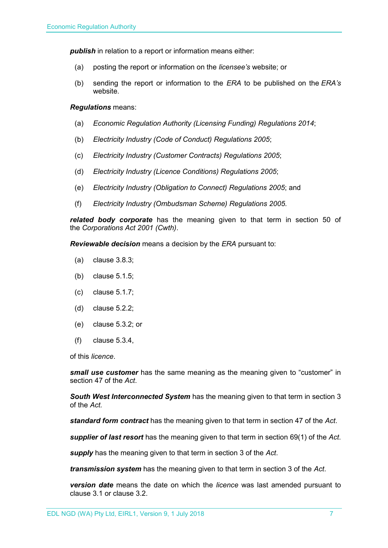**publish** in relation to a report or information means either:

- (a) posting the report or information on the *licensee's* website; or
- (b) sending the report or information to the *ERA* to be published on the *ERA's* website.

#### *Regulations* means:

- (a) *Economic Regulation Authority (Licensing Funding) Regulations 2014*;
- (b) *Electricity Industry (Code of Conduct) Regulations 2005*;
- (c) *Electricity Industry (Customer Contracts) Regulations 2005*;
- (d) *Electricity Industry (Licence Conditions) Regulations 2005*;
- (e) *Electricity Industry (Obligation to Connect) Regulations 2005*; and
- (f) *Electricity Industry (Ombudsman Scheme) Regulations 2005.*

*related body corporate* has the meaning given to that term in section 50 of the *Corporations Act 2001 (Cwth)*.

*Reviewable decision* means a decision by the *ERA* pursuant to:

- (a) clause 3.8.3;
- (b) clause 5.1.5;
- (c) clause 5.1.7;
- (d) clause 5.2.2;
- (e) clause 5.3.2; or
- (f) clause 5.3.4,

of this *licence*.

*small use customer* has the same meaning as the meaning given to "customer" in section 47 of the *Act*.

*South West Interconnected System* has the meaning given to that term in section 3 of the *Act.* 

*standard form contract* has the meaning given to that term in section 47 of the *Act*.

*supplier of last resort* has the meaning given to that term in section 69(1) of the *Act*.

*supply* has the meaning given to that term in section 3 of the *Act*.

*transmission system* has the meaning given to that term in section 3 of the *Act*.

*version date* means the date on which the *licence* was last amended pursuant to clause 3.1 or clause 3.2.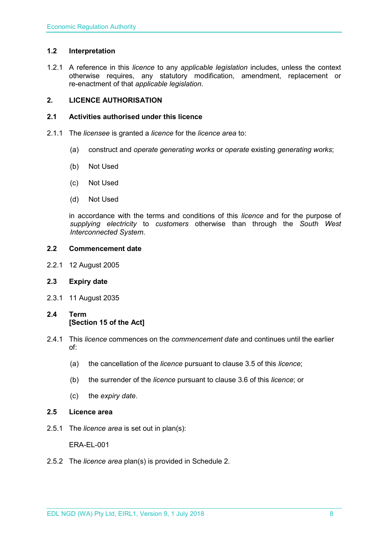# <span id="page-7-0"></span>**1.2 Interpretation**

1.2.1 A reference in this *licence* to any *applicable legislation* includes, unless the context otherwise requires, any statutory modification, amendment, replacement or re-enactment of that *applicable legislation*.

# <span id="page-7-1"></span>**2. LICENCE AUTHORISATION**

# <span id="page-7-2"></span>**2.1 Activities authorised under this licence**

- 2.1.1 The *licensee* is granted a *licence* for the *licence area* to:
	- (a) construct and *operate generating works* or *operate* existing *generating works*;
	- (b) Not Used
	- (c) Not Used
	- (d) Not Used

in accordance with the terms and conditions of this *licence* and for the purpose of *supplying electricity* to *customers* otherwise than through the *South West Interconnected System*.

#### <span id="page-7-3"></span>**2.2 Commencement date**

2.2.1 12 August 2005

# <span id="page-7-4"></span>**2.3 Expiry date**

- 2.3.1 11 August 2035
- <span id="page-7-5"></span>**2.4 Term [Section 15 of the Act]**
- 2.4.1 This *licence* commences on the *commencement date* and continues until the earlier of:
	- (a) the cancellation of the *licence* pursuant to clause 3.5 of this *licence*;
	- (b) the surrender of the *licence* pursuant to clause 3.6 of this *licence*; or
	- (c) the *expiry date*.
- <span id="page-7-6"></span>**2.5 Licence area**
- 2.5.1 The *licence area* is set out in plan(s):

ERA-EL-001

2.5.2 The *licence area* plan(s) is provided in Schedule 2.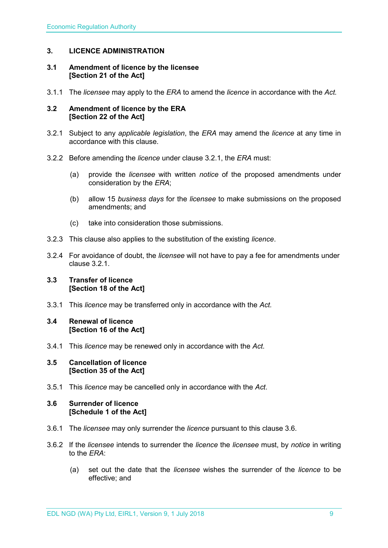# <span id="page-8-0"></span>**3. LICENCE ADMINISTRATION**

#### <span id="page-8-1"></span>**3.1 Amendment of licence by the licensee [Section 21 of the Act]**

3.1.1 The *licensee* may apply to the *ERA* to amend the *licence* in accordance with the *Act.*

#### <span id="page-8-2"></span>**3.2 Amendment of licence by the ERA [Section 22 of the Act]**

- 3.2.1 Subject to any *applicable legislation*, the *ERA* may amend the *licence* at any time in accordance with this clause.
- 3.2.2 Before amending the *licence* under clause 3.2.1, the *ERA* must:
	- (a) provide the *licensee* with written *notice* of the proposed amendments under consideration by the *ERA*;
	- (b) allow 15 *business days* for the *licensee* to make submissions on the proposed amendments; and
	- (c) take into consideration those submissions.
- 3.2.3 This clause also applies to the substitution of the existing *licence*.
- 3.2.4 For avoidance of doubt, the *licensee* will not have to pay a fee for amendments under clause 3.2.1.

### <span id="page-8-3"></span>**3.3 Transfer of licence [Section 18 of the Act]**

3.3.1 This *licence* may be transferred only in accordance with the *Act.*

# <span id="page-8-4"></span>**3.4 Renewal of licence [Section 16 of the Act]**

3.4.1 This *licence* may be renewed only in accordance with the *Act*.

#### <span id="page-8-5"></span>**3.5 Cancellation of licence [Section 35 of the Act]**

3.5.1 This *licence* may be cancelled only in accordance with the *Act*.

# <span id="page-8-6"></span>**3.6 Surrender of licence [Schedule 1 of the Act]**

- 3.6.1 The *licensee* may only surrender the *licence* pursuant to this clause 3.6.
- 3.6.2 If the *licensee* intends to surrender the *licence* the *licensee* must, by *notice* in writing to the *ERA*:
	- (a) set out the date that the *licensee* wishes the surrender of the *licence* to be effective; and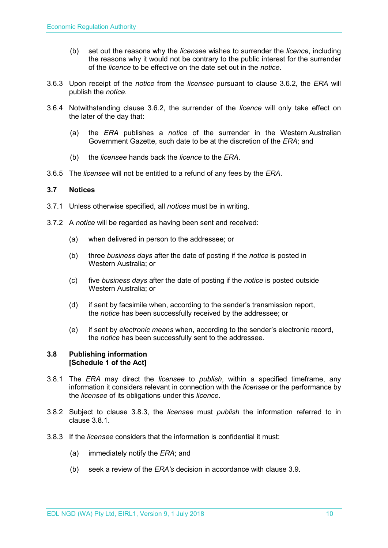- (b) set out the reasons why the *licensee* wishes to surrender the *licence*, including the reasons why it would not be contrary to the public interest for the surrender of the *licence* to be effective on the date set out in the *notice*.
- 3.6.3 Upon receipt of the *notice* from the *licensee* pursuant to clause 3.6.2, the *ERA* will publish the *notice*.
- 3.6.4 Notwithstanding clause 3.6.2, the surrender of the *licence* will only take effect on the later of the day that:
	- (a) the *ERA* publishes a *notice* of the surrender in the Western Australian Government Gazette, such date to be at the discretion of the *ERA*; and
	- (b) the *licensee* hands back the *licence* to the *ERA*.
- 3.6.5 The *licensee* will not be entitled to a refund of any fees by the *ERA*.

# <span id="page-9-0"></span>**3.7 Notices**

- 3.7.1 Unless otherwise specified, all *notices* must be in writing.
- 3.7.2 A *notice* will be regarded as having been sent and received:
	- (a) when delivered in person to the addressee; or
	- (b) three *business days* after the date of posting if the *notice* is posted in Western Australia; or
	- (c) five *business days* after the date of posting if the *notice* is posted outside Western Australia; or
	- (d) if sent by facsimile when, according to the sender's transmission report, the *notice* has been successfully received by the addressee; or
	- (e) if sent by *electronic means* when, according to the sender's electronic record, the *notice* has been successfully sent to the addressee.

# <span id="page-9-1"></span>**3.8 Publishing information [Schedule 1 of the Act]**

- 3.8.1 The *ERA* may direct the *licensee* to *publish*, within a specified timeframe, any information it considers relevant in connection with the *licensee* or the performance by the *licensee* of its obligations under this *licence*.
- 3.8.2 Subject to clause 3.8.3, the *licensee* must *publish* the information referred to in clause 3.8.1.
- 3.8.3 If the *licensee* considers that the information is confidential it must:
	- (a) immediately notify the *ERA*; and
	- (b) seek a review of the *ERA's* decision in accordance with clause 3.9.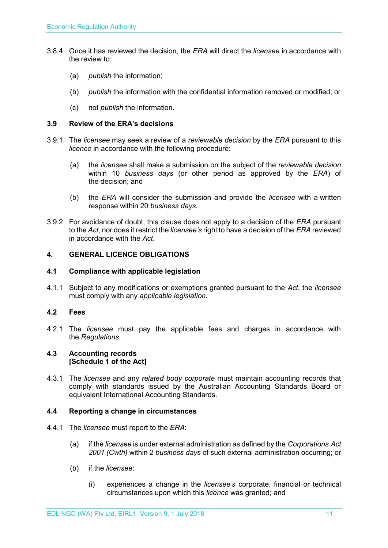- 3.8.4 Once it has reviewed the decision, the *ERA* will direct the *licensee* in accordance with the review to:
	- (a) *publish* the information;
	- (b) *publish* the information with the confidential information removed or modified; or
	- (c) not *publish* the information.

# <span id="page-10-0"></span>**3.9 Review of the ERA's decisions**

- 3.9.1 The *licensee* may seek a review of a *reviewable decision* by the *ERA* pursuant to this *licence* in accordance with the following procedure:
	- (a) the *licensee* shall make a submission on the subject of the *reviewable decision* within 10 *business days* (or other period as approved by the *ERA*) of the decision; and
	- (b) the *ERA* will consider the submission and provide the *licensee* with a written response within 20 *business days*.
- 3.9.2 For avoidance of doubt, this clause does not apply to a decision of the *ERA* pursuant to the *Act*, nor does it restrict the *licensee's* right to have a decision of the *ERA* reviewed in accordance with the *Act*.

# <span id="page-10-1"></span>**4. GENERAL LICENCE OBLIGATIONS**

#### <span id="page-10-2"></span>**4.1 Compliance with applicable legislation**

4.1.1 Subject to any modifications or exemptions granted pursuant to the *Act*, the *licensee* must comply with any *applicable legislation*.

# <span id="page-10-3"></span>**4.2 Fees**

4.2.1 The *licensee* must pay the applicable fees and charges in accordance with the *Regulations*.

#### <span id="page-10-4"></span>**4.3 Accounting records [Schedule 1 of the Act]**

4.3.1 The *licensee* and any *related body corporate* must maintain accounting records that comply with standards issued by the Australian Accounting Standards Board or equivalent International Accounting Standards.

#### <span id="page-10-5"></span>**4.4 Reporting a change in circumstances**

- 4.4.1 The *licensee* must report to the *ERA*:
	- (a) if the *licensee* is under external administration as defined by the *Corporations Act 2001 (Cwth)* within 2 *business days* of such external administration occurring; or
	- (b) if the *licensee*:
		- (i) experiences a change in the *licensee's* corporate, financial or technical circumstances upon which this *licence* was granted; and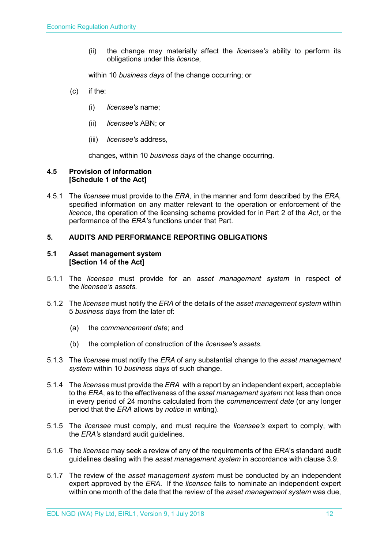(ii) the change may materially affect the *licensee's* ability to perform its obligations under this *licence*,

within 10 *business days* of the change occurring; or

- (c) if the:
	- (i) *licensee's* name;
	- (ii) *licensee's* ABN; or
	- (iii) *licensee's* address,

changes, within 10 *business days* of the change occurring.

### <span id="page-11-0"></span>**4.5 Provision of information [Schedule 1 of the Act]**

4.5.1 The *licensee* must provide to the *ERA,* in the manner and form described by the *ERA,*  specified information on any matter relevant to the operation or enforcement of the *licence*, the operation of the licensing scheme provided for in Part 2 of the *Act*, or the performance of the *ERA's* functions under that Part.

#### <span id="page-11-1"></span>**5. AUDITS AND PERFORMANCE REPORTING OBLIGATIONS**

#### <span id="page-11-2"></span>**5.1 Asset management system [Section 14 of the Act]**

- 5.1.1 The *licensee* must provide for an *asset management system* in respect of the *licensee's assets.*
- 5.1.2 The *licensee* must notify the *ERA* of the details of the *asset management system* within 5 *business days* from the later of:
	- (a) the *commencement date*; and
	- (b) the completion of construction of the *licensee's assets*.
- 5.1.3 The *licensee* must notify the *ERA* of any substantial change to the *asset management system* within 10 *business days* of such change.
- 5.1.4 The *licensee* must provide the *ERA* with a report by an independent expert, acceptable to the *ERA*, as to the effectiveness of the *asset management system* not less than once in every period of 24 months calculated from the *commencement date* (or any longer period that the *ERA* allows by *notice* in writing).
- 5.1.5 The *licensee* must comply, and must require the *licensee's* expert to comply, with the *ERA'*s standard audit guidelines.
- 5.1.6 The *licensee* may seek a review of any of the requirements of the *ERA*'s standard audit guidelines dealing with the *asset management system* in accordance with clause 3.9.
- 5.1.7 The review of the *asset management system* must be conducted by an independent expert approved by the *ERA*. If the *licensee* fails to nominate an independent expert within one month of the date that the review of the *asset management system* was due,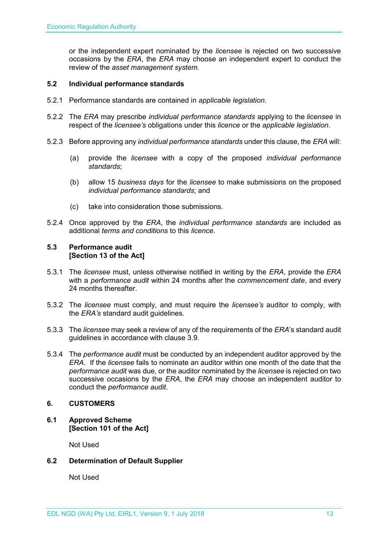or the independent expert nominated by the *licensee* is rejected on two successive occasions by the *ERA*, the *ERA* may choose an independent expert to conduct the review of the *asset management system.*

# <span id="page-12-0"></span>**5.2 Individual performance standards**

- 5.2.1 Performance standards are contained in *applicable legislation*.
- 5.2.2 The *ERA* may prescribe *individual performance standards* applying to the *licensee* in respect of the *licensee's* obligations under this *licence* or the *applicable legislation*.
- 5.2.3 Before approving any *individual performance standards* under this clause, the *ERA* will:
	- (a) provide the *licensee* with a copy of the proposed *individual performance standards*;
	- (b) allow 15 *business days* for the *licensee* to make submissions on the proposed *individual performance standards*; and
	- (c) take into consideration those submissions.
- 5.2.4 Once approved by the *ERA*, the *individual performance standards* are included as additional *terms and conditions* to this *licence*.

### <span id="page-12-1"></span>**5.3 Performance audit [Section 13 of the Act]**

- 5.3.1 The *licensee* must, unless otherwise notified in writing by the *ERA*, provide the *ERA* with a *performance audit* within 24 months after the *commencement date*, and every 24 months thereafter.
- 5.3.2 The *licensee* must comply, and must require the *licensee's* auditor to comply, with the *ERA's* standard audit guidelines.
- 5.3.3 The *licensee* may seek a review of any of the requirements of the *ERA*'s standard audit guidelines in accordance with clause 3.9.
- 5.3.4 The *performance audit* must be conducted by an independent auditor approved by the *ERA*. If the *licensee* fails to nominate an auditor within one month of the date that the *performance audit* was due, or the auditor nominated by the *licensee* is rejected on two successive occasions by the *ERA*, the *ERA* may choose an independent auditor to conduct the *performance audit*.

# <span id="page-12-2"></span>**6. CUSTOMERS**

<span id="page-12-3"></span>**6.1 Approved Scheme [Section 101 of the Act]**

Not Used

# <span id="page-12-4"></span>**6.2 Determination of Default Supplier**

Not Used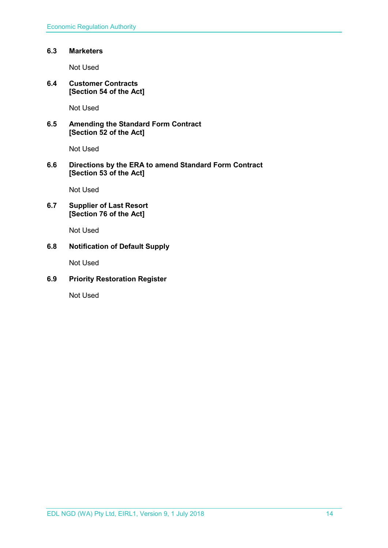# <span id="page-13-0"></span>**6.3 Marketers**

Not Used

<span id="page-13-1"></span>**6.4 Customer Contracts [Section 54 of the Act]**

Not Used

<span id="page-13-2"></span>**6.5 Amending the Standard Form Contract [Section 52 of the Act]**

Not Used

# <span id="page-13-3"></span>**6.6 Directions by the ERA to amend Standard Form Contract [Section 53 of the Act]**

Not Used

# <span id="page-13-4"></span>**6.7 Supplier of Last Resort [Section 76 of the Act]**

Not Used

# <span id="page-13-5"></span>**6.8 Notification of Default Supply**

Not Used

# <span id="page-13-6"></span>**6.9 Priority Restoration Register**

Not Used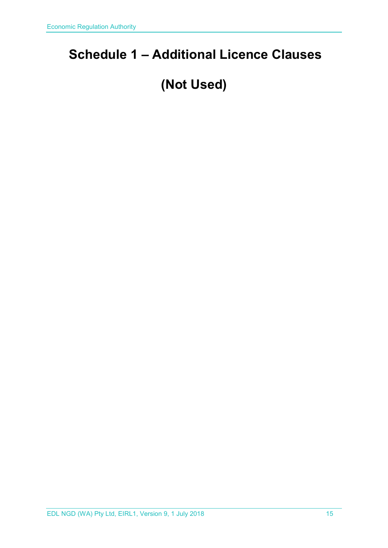# <span id="page-14-0"></span>**Schedule 1 – Additional Licence Clauses**

# **(Not Used)**

EDL NGD (WA) Pty Ltd, EIRL1, Version 9, 1 July 2018 15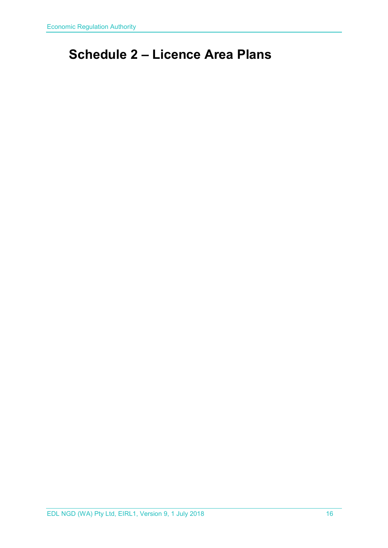# <span id="page-15-0"></span>**Schedule 2 – Licence Area Plans**